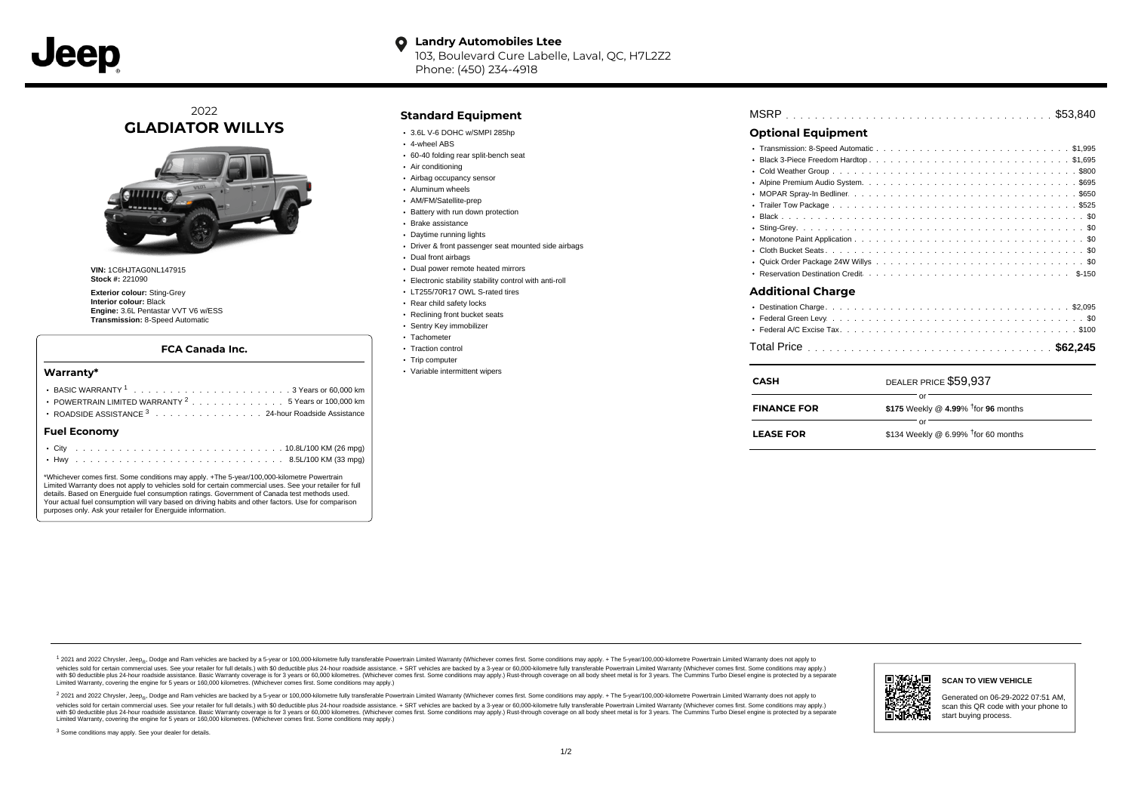**Landry Automobiles Ltee**  $\bullet$ 103, Boulevard Cure Labelle, Laval, QC, H7L2Z2

Phone: (450) 234-4918

# 2022 **GLADIATOR WILLYS**



**VIN:** 1C6HJTAG0NL147915 **Stock #:** 221090

**Exterior colour:** Sting-Grey **Interior colour:** Black **Engine:** 3.6L Pentastar VVT V6 w/ESS **Transmission:** 8-Speed Automatic

## **FCA Canada Inc.**

### **Warranty\***

| POWERTRAIN LIMITED WARRANTY $^2$ , , , , , , , , , , , , , , 5 Years or 100,000 km<br>ROADSIDE ASSISTANCE 3 24-hour Roadside Assistance |  |
|-----------------------------------------------------------------------------------------------------------------------------------------|--|
| <b>Fuel Economy</b>                                                                                                                     |  |
|                                                                                                                                         |  |

\*Whichever comes first. Some conditions may apply. +The 5-year/100,000-kilometre Powertrain Limited Warranty does not apply to vehicles sold for certain commercial uses. See your retailer for full details. Based on Energuide fuel consumption ratings. Government of Canada test methods used. Your actual fuel consumption will vary based on driving habits and other factors. Use for comparison purposes only. Ask your retailer for Energuide information.

## **Standard Equipment**

- 3.6L V-6 DOHC w/SMPI 285hp
- 4-wheel ABS
- 60-40 folding rear split-bench seat
- Air conditioning
- Airbag occupancy sensor
- Aluminum wheels
- AM/FM/Satellite-prep **Battery with run down protection**
- Brake assistance
- Daytime running lights
- Driver & front passenger seat mounted side airbags
- Dual front airbags
- Dual power remote heated mirrors
- Electronic stability stability control with anti-roll
- LT255/70R17 OWL S-rated tires
- Rear child safety locks
- Reclining front bucket seats
- Sentry Key immobilizer
- Tachometer
- Traction control
- Trip computer
- Variable intermittent wipers

| <b>Optional Equipment</b> |  |  |                       |  |  |  |  |  |  |  |  |  |  |
|---------------------------|--|--|-----------------------|--|--|--|--|--|--|--|--|--|--|
|                           |  |  |                       |  |  |  |  |  |  |  |  |  |  |
|                           |  |  |                       |  |  |  |  |  |  |  |  |  |  |
|                           |  |  |                       |  |  |  |  |  |  |  |  |  |  |
|                           |  |  |                       |  |  |  |  |  |  |  |  |  |  |
|                           |  |  |                       |  |  |  |  |  |  |  |  |  |  |
|                           |  |  |                       |  |  |  |  |  |  |  |  |  |  |
|                           |  |  |                       |  |  |  |  |  |  |  |  |  |  |
|                           |  |  |                       |  |  |  |  |  |  |  |  |  |  |
|                           |  |  |                       |  |  |  |  |  |  |  |  |  |  |
|                           |  |  |                       |  |  |  |  |  |  |  |  |  |  |
|                           |  |  |                       |  |  |  |  |  |  |  |  |  |  |
|                           |  |  |                       |  |  |  |  |  |  |  |  |  |  |
| <b>Additional Charge</b>  |  |  |                       |  |  |  |  |  |  |  |  |  |  |
|                           |  |  |                       |  |  |  |  |  |  |  |  |  |  |
|                           |  |  |                       |  |  |  |  |  |  |  |  |  |  |
|                           |  |  |                       |  |  |  |  |  |  |  |  |  |  |
|                           |  |  |                       |  |  |  |  |  |  |  |  |  |  |
|                           |  |  |                       |  |  |  |  |  |  |  |  |  |  |
| <b>CASH</b>               |  |  | DEALER PRICE \$59.937 |  |  |  |  |  |  |  |  |  |  |
|                           |  |  | or                    |  |  |  |  |  |  |  |  |  |  |
|                           |  |  |                       |  |  |  |  |  |  |  |  |  |  |

| <b>FINANCE FOR</b> | \$175 Weekly @ 4.99% $\dagger$ for 96 months       |  |
|--------------------|----------------------------------------------------|--|
|                    | $\cap$ r                                           |  |
| <b>LEASE FOR</b>   | \$134 Weekly @ $6.99\%$ <sup>†</sup> for 60 months |  |

1 2021 and 2022 Chrysler, Jeep<sub>er</sub>, Dodge and Ram vehicles are backed by a 5-year or 100,000-kilometre fully transferable Powertrain Limited Warranty (Whichever comes first. Some conditions may apply. + The 5-year/100,000vehicles sold for certain commercial uses. See your retailer for full details.) with \$0 deductible plus 24 hour roadside assistance. + SRT vehicles are backed by a 3-year or 60,000-kilometre fully transferable Powertrain L versus and contract the mean of the contract of the contract with a contract with a contract the contract of the search of the contract and a control of the contract and contract and control of the search of the search of Limited Warranty, covering the engine for 5 years or 160,000 kilometres. (Whichever comes first. Some conditions may apply.)

<sup>2</sup> 2021 and 2022 Chrysler, Jeep<sub>®</sub>, Dodge and Ram vehicles are backed by a 5-year or 100,000-kilometre fully transferable Powertrain Limited Warranty (Whichever comes first. Some conditions may apply. + The 5-year/100,000 vehicles sold for certain commercial uses. See your retailer for full details.) with SO deductible plus 24-hour roadside assistance. + SRT vehicles are backed by a 3-year or 60.000-kilometre fully transferable Powertrain. with S0 deductible plus 24-hour roadside assistance. Basic Warranty coverage is for 3 years or 60,000 kilometres. (Whichever comes first. Some conditions may apply.) Rust-through coverage on all body sheet metal is for 3 y

<sup>3</sup> Some conditions may apply. See your dealer for details.



Generated on 06-29-2022 07:51 AM, scan this QR code with your phone to start buying process.